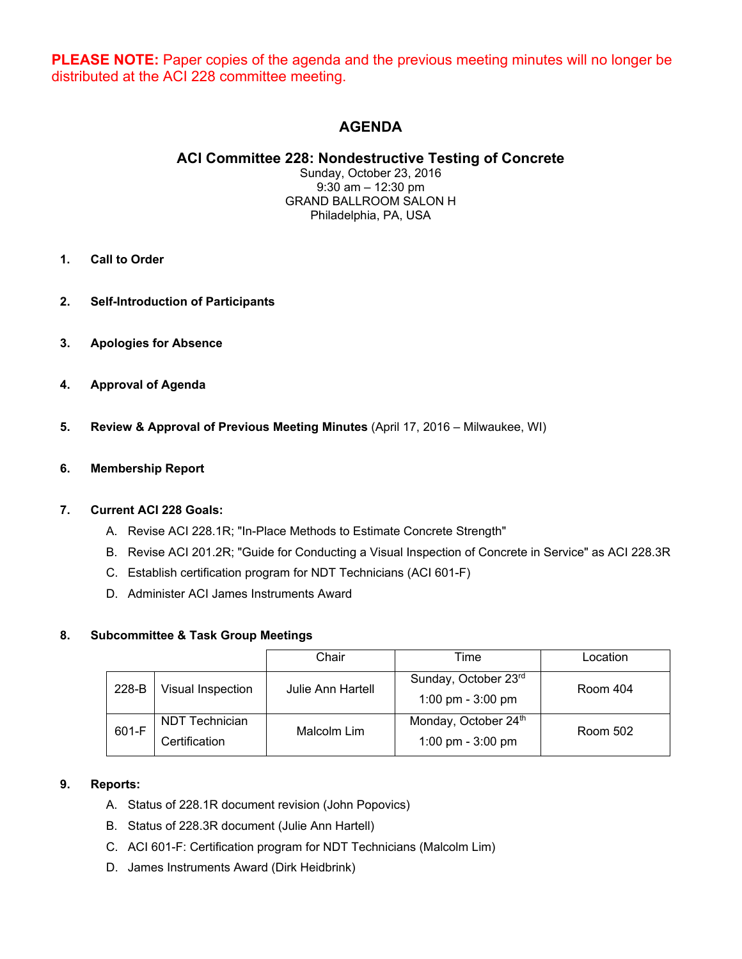**PLEASE NOTE:** Paper copies of the agenda and the previous meeting minutes will no longer be distributed at the ACI 228 committee meeting.

## **AGENDA**

## **ACI Committee 228: Nondestructive Testing of Concrete**

Sunday, October 23, 2016 9:30 am – 12:30 pm GRAND BALLROOM SALON H Philadelphia, PA, USA

- **1. Call to Order**
- **2. Self-Introduction of Participants**
- **3. Apologies for Absence**
- **4. Approval of Agenda**
- **5. Review & Approval of Previous Meeting Minutes** (April 17, 2016 Milwaukee, WI)

#### **6. Membership Report**

#### **7. Current ACI 228 Goals:**

- A. Revise ACI 228.1R; "In-Place Methods to Estimate Concrete Strength"
- B. Revise ACI 201.2R; "Guide for Conducting a Visual Inspection of Concrete in Service" as ACI 228.3R
- C. Establish certification program for NDT Technicians (ACI 601-F)
- D. Administer ACI James Instruments Award

#### **8. Subcommittee & Task Group Meetings**

|       |                                 | Chair             | Time                                        | Location |
|-------|---------------------------------|-------------------|---------------------------------------------|----------|
| 228-B | Visual Inspection               | Julie Ann Hartell | Sunday, October 23rd<br>1:00 pm - $3:00$ pm | Room 404 |
| 601-F | NDT Technician<br>Certification | Malcolm Lim       | Monday, October 24th<br>1:00 pm - $3:00$ pm | Room 502 |

#### **9. Reports:**

- A. Status of 228.1R document revision (John Popovics)
- B. Status of 228.3R document (Julie Ann Hartell)
- C. ACI 601-F: Certification program for NDT Technicians (Malcolm Lim)
- D. James Instruments Award (Dirk Heidbrink)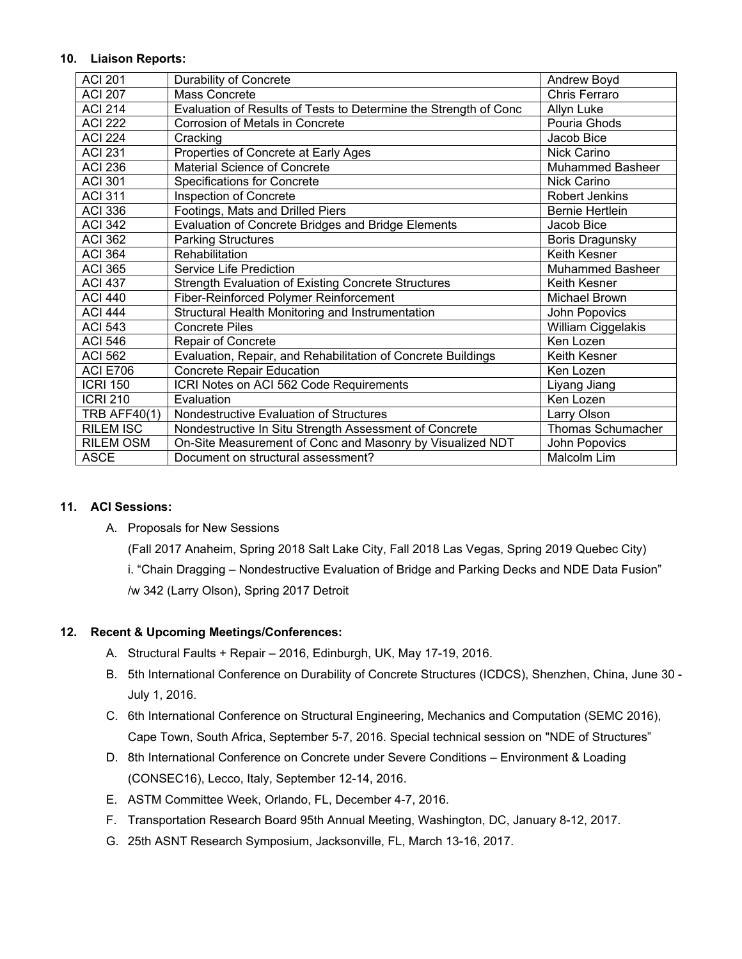#### **10. Liaison Reports:**

| <b>ACI 201</b>   | Durability of Concrete                                           | Andrew Boyd             |
|------------------|------------------------------------------------------------------|-------------------------|
| <b>ACI 207</b>   | <b>Mass Concrete</b>                                             | Chris Ferraro           |
| <b>ACI 214</b>   | Evaluation of Results of Tests to Determine the Strength of Conc | Allyn Luke              |
| <b>ACI 222</b>   | Corrosion of Metals in Concrete                                  | Pouria Ghods            |
| <b>ACI 224</b>   | Cracking                                                         | Jacob Bice              |
| <b>ACI 231</b>   | Properties of Concrete at Early Ages                             | <b>Nick Carino</b>      |
| <b>ACI 236</b>   | Material Science of Concrete                                     | <b>Muhammed Basheer</b> |
| <b>ACI 301</b>   | <b>Specifications for Concrete</b>                               | <b>Nick Carino</b>      |
| <b>ACI 311</b>   | Inspection of Concrete                                           | <b>Robert Jenkins</b>   |
| <b>ACI 336</b>   | Footings, Mats and Drilled Piers                                 | <b>Bernie Hertlein</b>  |
| <b>ACI 342</b>   | Evaluation of Concrete Bridges and Bridge Elements               | Jacob Bice              |
| <b>ACI 362</b>   | <b>Parking Structures</b>                                        | <b>Boris Dragunsky</b>  |
| <b>ACI 364</b>   | Rehabilitation                                                   | Keith Kesner            |
| <b>ACI 365</b>   | Service Life Prediction                                          | <b>Muhammed Basheer</b> |
| <b>ACI 437</b>   | <b>Strength Evaluation of Existing Concrete Structures</b>       | <b>Keith Kesner</b>     |
| <b>ACI 440</b>   | Fiber-Reinforced Polymer Reinforcement                           | Michael Brown           |
| <b>ACI 444</b>   | Structural Health Monitoring and Instrumentation                 | John Popovics           |
| <b>ACI 543</b>   | <b>Concrete Piles</b>                                            | William Ciggelakis      |
| <b>ACI 546</b>   | <b>Repair of Concrete</b>                                        | Ken Lozen               |
| <b>ACI 562</b>   | Evaluation, Repair, and Rehabilitation of Concrete Buildings     | Keith Kesner            |
| <b>ACI E706</b>  | Concrete Repair Education                                        | Ken Lozen               |
| <b>ICRI 150</b>  | ICRI Notes on ACI 562 Code Requirements                          | Liyang Jiang            |
| <b>ICRI 210</b>  | Evaluation                                                       | Ken Lozen               |
| $TRB$ AFF40(1)   | Nondestructive Evaluation of Structures                          | Larry Olson             |
| <b>RILEM ISC</b> | Nondestructive In Situ Strength Assessment of Concrete           | Thomas Schumacher       |
| <b>RILEM OSM</b> | On-Site Measurement of Conc and Masonry by Visualized NDT        | John Popovics           |
| <b>ASCE</b>      | Document on structural assessment?                               | Malcolm Lim             |

#### **11. ACI Sessions:**

#### A. Proposals for New Sessions

(Fall 2017 Anaheim, Spring 2018 Salt Lake City, Fall 2018 Las Vegas, Spring 2019 Quebec City)

i. "Chain Dragging – Nondestructive Evaluation of Bridge and Parking Decks and NDE Data Fusion" /w 342 (Larry Olson), Spring 2017 Detroit

### **12. Recent & Upcoming Meetings/Conferences:**

- A. Structural Faults + Repair 2016, Edinburgh, UK, May 17-19, 2016.
- B. 5th International Conference on Durability of Concrete Structures (ICDCS), Shenzhen, China, June 30 July 1, 2016.
- C. 6th International Conference on Structural Engineering, Mechanics and Computation (SEMC 2016), Cape Town, South Africa, September 5-7, 2016. Special technical session on "NDE of Structures"
- D. 8th International Conference on Concrete under Severe Conditions Environment & Loading (CONSEC16), Lecco, Italy, September 12-14, 2016.
- E. ASTM Committee Week, Orlando, FL, December 4-7, 2016.
- F. Transportation Research Board 95th Annual Meeting, Washington, DC, January 8-12, 2017.
- G. 25th ASNT Research Symposium, Jacksonville, FL, March 13-16, 2017.